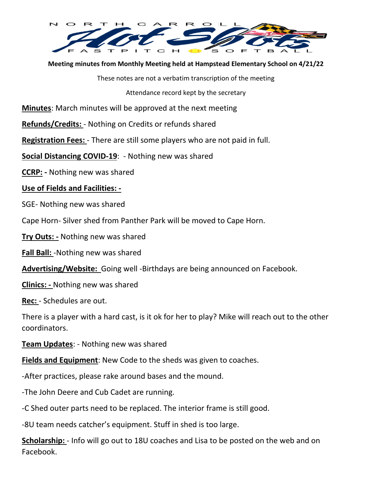

**Meeting minutes from Monthly Meeting held at Hampstead Elementary School on 4/21/22** 

These notes are not a verbatim transcription of the meeting

Attendance record kept by the secretary

**Minutes**: March minutes will be approved at the next meeting

**Refunds/Credits:** - Nothing on Credits or refunds shared

**Registration Fees:** - There are still some players who are not paid in full.

**Social Distancing COVID-19**: - Nothing new was shared

**CCRP: -** Nothing new was shared

## **Use of Fields and Facilities: -**

SGE- Nothing new was shared

Cape Horn- Silver shed from Panther Park will be moved to Cape Horn.

**Try Outs: -** Nothing new was shared

**Fall Ball:** -Nothing new was shared

**Advertising/Website:** Going well -Birthdays are being announced on Facebook.

**Clinics: -** Nothing new was shared

**Rec:** - Schedules are out.

There is a player with a hard cast, is it ok for her to play? Mike will reach out to the other coordinators.

**Team Updates**: - Nothing new was shared

**Fields and Equipment**: New Code to the sheds was given to coaches.

-After practices, please rake around bases and the mound.

-The John Deere and Cub Cadet are running.

-C Shed outer parts need to be replaced. The interior frame is still good.

-8U team needs catcher's equipment. Stuff in shed is too large.

**Scholarship:** - Info will go out to 18U coaches and Lisa to be posted on the web and on Facebook.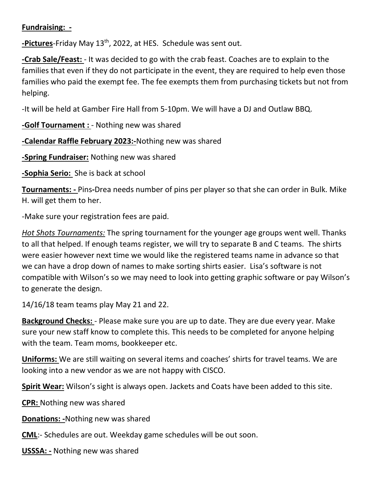## **Fundraising: -**

**-Pictures**-Friday May 13<sup>th</sup>, 2022, at HES. Schedule was sent out.

**-Crab Sale/Feast:** - It was decided to go with the crab feast. Coaches are to explain to the families that even if they do not participate in the event, they are required to help even those families who paid the exempt fee. The fee exempts them from purchasing tickets but not from helping.

-It will be held at Gamber Fire Hall from 5-10pm. We will have a DJ and Outlaw BBQ.

**-Golf Tournament :** - Nothing new was shared

**-Calendar Raffle February 2023:-**Nothing new was shared

**-Spring Fundraiser:** Nothing new was shared

**-Sophia Serio:** She is back at school

**Tournaments: -** Pins**-**Drea needs number of pins per player so that she can order in Bulk. Mike H. will get them to her.

-Make sure your registration fees are paid.

*Hot Shots Tournaments:* The spring tournament for the younger age groups went well. Thanks to all that helped. If enough teams register, we will try to separate B and C teams. The shirts were easier however next time we would like the registered teams name in advance so that we can have a drop down of names to make sorting shirts easier. Lisa's software is not compatible with Wilson's so we may need to look into getting graphic software or pay Wilson's to generate the design.

14/16/18 team teams play May 21 and 22.

**Background Checks:** - Please make sure you are up to date. They are due every year. Make sure your new staff know to complete this. This needs to be completed for anyone helping with the team. Team moms, bookkeeper etc.

**Uniforms:** We are still waiting on several items and coaches' shirts for travel teams. We are looking into a new vendor as we are not happy with CISCO.

**Spirit Wear:** Wilson's sight is always open. Jackets and Coats have been added to this site.

**CPR:** Nothing new was shared

**Donations: -**Nothing new was shared

**CML**:- Schedules are out. Weekday game schedules will be out soon.

**USSSA: -** Nothing new was shared